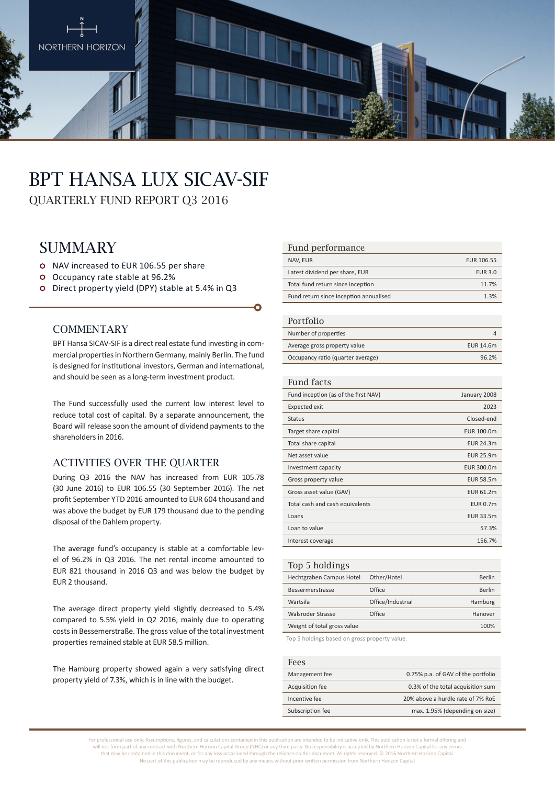

# BPT HANSA LUX SICAV-SIF

QUARTERLY FUND REPORT Q3 2016

# **SUMMARY**

- o NAV increased to EUR 106.55 per share
- Occupancy rate stable at 96.2%
- Direct property yield (DPY) stable at 5.4% in Q3

#### **COMMENTARY**

BPT Hansa SICAV-SIF is a direct real estate fund investing in commercial properties in Northern Germany, mainly Berlin. The fund is designed for institutional investors, German and international, and should be seen as a long-term investment product.

The Fund successfully used the current low interest level to reduce total cost of capital. By a separate announcement, the Board will release soon the amount of dividend payments to the shareholders in 2016.

### ACTIVITIES OVER THE QUARTER

During Q3 2016 the NAV has increased from EUR 105.78 (30 June 2016) to EUR 106.55 (30 September 2016). The net profit September YTD 2016 amounted to EUR 604 thousand and was above the budget by EUR 179 thousand due to the pending disposal of the Dahlem property.

The average fund's occupancy is stable at a comfortable level of 96.2% in Q3 2016. The net rental income amounted to EUR 821 thousand in 2016 Q3 and was below the budget by EUR 2 thousand.

The average direct property yield slightly decreased to 5.4% compared to 5.5% yield in Q2 2016, mainly due to operating costs in Bessemerstraße. The gross value of the total investment properties remained stable at EUR 58.5 million.

The Hamburg property showed again a very satisfying direct property yield of 7.3%, which is in line with the budget.

#### Fund performance

| NAV, EUR                               | EUR 106.55     |
|----------------------------------------|----------------|
| Latest dividend per share, EUR         | <b>EUR 3.0</b> |
| Total fund return since inception      | 11.7%          |
| Fund return since inception annualised | 1.3%           |

#### Portfolio

| T OT LIQITO                       |           |
|-----------------------------------|-----------|
| Number of properties              |           |
| Average gross property value      | EUR 14.6m |
| Occupancy ratio (quarter average) | 96.2%     |

#### Fund facts

| Fund inception (as of the first NAV) | January 2008     |
|--------------------------------------|------------------|
| <b>Expected exit</b>                 | 2023             |
| <b>Status</b>                        | Closed-end       |
| Target share capital                 | EUR 100.0m       |
| Total share capital                  | <b>EUR 24.3m</b> |
| Net asset value                      | <b>EUR 25.9m</b> |
| Investment capacity                  | EUR 300.0m       |
| Gross property value                 | <b>EUR 58.5m</b> |
| Gross asset value (GAV)              | <b>EUR 61.2m</b> |
| Total cash and cash equivalents      | <b>EUR 0.7m</b>  |
| Loans                                | EUR 33.5m        |
| Loan to value                        | 57.3%            |
| Interest coverage                    | 156.7%           |
|                                      |                  |

| Top 5 holdings              |                   |               |
|-----------------------------|-------------------|---------------|
| Hechtgraben Campus Hotel    | Other/Hotel       | <b>Berlin</b> |
| Bessermerstrasse            | Office            | Berlin        |
| Wärtsilä                    | Office/Industrial | Hamburg       |
| Walsroder Strasse           | Office            | Hanover       |
| Weight of total gross value |                   | 100%          |
|                             |                   |               |

Top 5 holdings based on gross property value.

| Fees             |                                    |
|------------------|------------------------------------|
| Management fee   | 0.75% p.a. of GAV of the portfolio |
| Acquisition fee  | 0.3% of the total acquisition sum  |
| Incentive fee    | 20% above a hurdle rate of 7% RoE  |
| Subscription fee | max. 1.95% (depending on size)     |

For professional use only. Assumptions, figures, and calculations contained in this publication are intended to be indicative only. This publication is not a formal offering and will not form part of any contract with Northern Horizon Capital Group (NHC) or any third party. No responsibility is accepted by Northern Horizon Capital for any errors that may be contained in this document, or for any loss occasioned through the reliance on this document. All rights reserved. © 2016 Northern Horizon Capital. No part of this publication may be reproduced by any means without prior written permission from Northern Horizon Capital